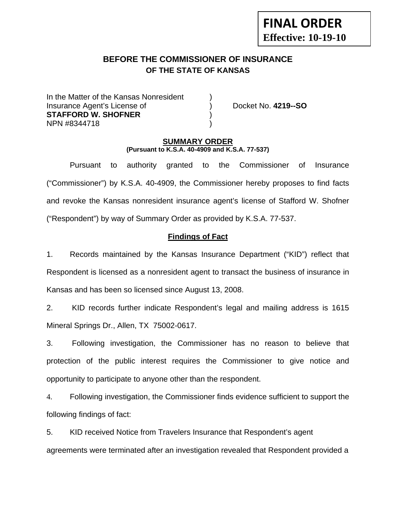# **FINAL ORDER Effective: 10-19-10**

# **BEFORE THE COMMISSIONER OF INSURANCE OF THE STATE OF KANSAS**

In the Matter of the Kansas Nonresident Insurance Agent's License of ) Docket No. **4219--SO STAFFORD W. SHOFNER** ) NPN #8344718 )

#### **SUMMARY ORDER (Pursuant to K.S.A. 40-4909 and K.S.A. 77-537)**

 Pursuant to authority granted to the Commissioner of Insurance ("Commissioner") by K.S.A. 40-4909, the Commissioner hereby proposes to find facts and revoke the Kansas nonresident insurance agent's license of Stafford W. Shofner ("Respondent") by way of Summary Order as provided by K.S.A. 77-537.

# **Findings of Fact**

1. Records maintained by the Kansas Insurance Department ("KID") reflect that Respondent is licensed as a nonresident agent to transact the business of insurance in Kansas and has been so licensed since August 13, 2008.

2. KID records further indicate Respondent's legal and mailing address is 1615 Mineral Springs Dr., Allen, TX 75002-0617.

3. Following investigation, the Commissioner has no reason to believe that protection of the public interest requires the Commissioner to give notice and opportunity to participate to anyone other than the respondent.

4. Following investigation, the Commissioner finds evidence sufficient to support the following findings of fact:

5. KID received Notice from Travelers Insurance that Respondent's agent agreements were terminated after an investigation revealed that Respondent provided a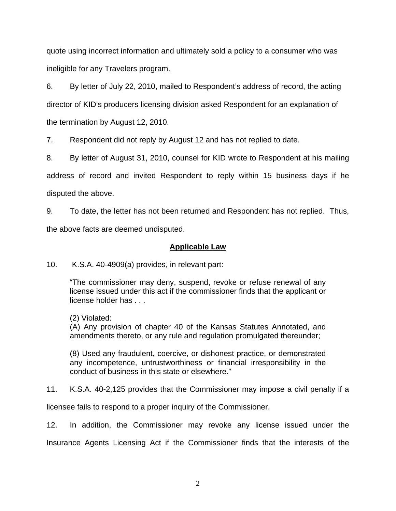quote using incorrect information and ultimately sold a policy to a consumer who was ineligible for any Travelers program.

6. By letter of July 22, 2010, mailed to Respondent's address of record, the acting director of KID's producers licensing division asked Respondent for an explanation of the termination by August 12, 2010.

7. Respondent did not reply by August 12 and has not replied to date.

8. By letter of August 31, 2010, counsel for KID wrote to Respondent at his mailing address of record and invited Respondent to reply within 15 business days if he disputed the above.

9. To date, the letter has not been returned and Respondent has not replied. Thus, the above facts are deemed undisputed.

#### **Applicable Law**

10. K.S.A. 40-4909(a) provides, in relevant part:

"The commissioner may deny, suspend, revoke or refuse renewal of any license issued under this act if the commissioner finds that the applicant or license holder has . . .

(2) Violated:

(A) Any provision of chapter 40 of the Kansas Statutes Annotated, and amendments thereto, or any rule and regulation promulgated thereunder;

(8) Used any fraudulent, coercive, or dishonest practice, or demonstrated any incompetence, untrustworthiness or financial irresponsibility in the conduct of business in this state or elsewhere."

11. K.S.A. 40-2,125 provides that the Commissioner may impose a civil penalty if a

licensee fails to respond to a proper inquiry of the Commissioner.

12. In addition, the Commissioner may revoke any license issued under the Insurance Agents Licensing Act if the Commissioner finds that the interests of the

2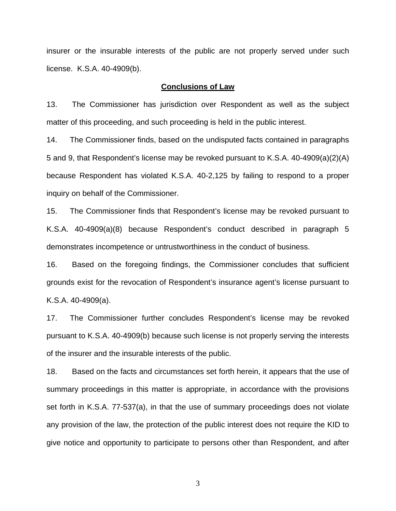insurer or the insurable interests of the public are not properly served under such license. K.S.A. 40-4909(b).

#### **Conclusions of Law**

13. The Commissioner has jurisdiction over Respondent as well as the subject matter of this proceeding, and such proceeding is held in the public interest.

14. The Commissioner finds, based on the undisputed facts contained in paragraphs 5 and 9, that Respondent's license may be revoked pursuant to K.S.A. 40-4909(a)(2)(A) because Respondent has violated K.S.A. 40-2,125 by failing to respond to a proper inquiry on behalf of the Commissioner.

15. The Commissioner finds that Respondent's license may be revoked pursuant to K.S.A. 40-4909(a)(8) because Respondent's conduct described in paragraph 5 demonstrates incompetence or untrustworthiness in the conduct of business.

16. Based on the foregoing findings, the Commissioner concludes that sufficient grounds exist for the revocation of Respondent's insurance agent's license pursuant to K.S.A. 40-4909(a).

17. The Commissioner further concludes Respondent's license may be revoked pursuant to K.S.A. 40-4909(b) because such license is not properly serving the interests of the insurer and the insurable interests of the public.

18. Based on the facts and circumstances set forth herein, it appears that the use of summary proceedings in this matter is appropriate, in accordance with the provisions set forth in K.S.A. 77-537(a), in that the use of summary proceedings does not violate any provision of the law, the protection of the public interest does not require the KID to give notice and opportunity to participate to persons other than Respondent, and after

3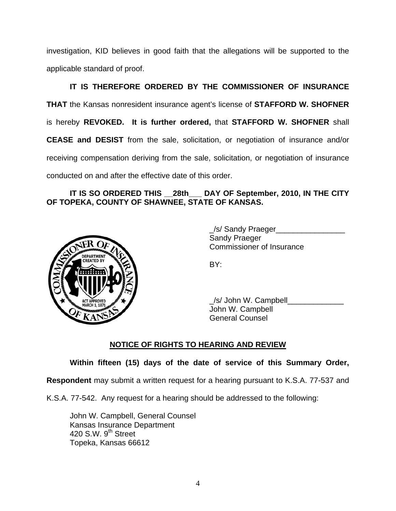investigation, KID believes in good faith that the allegations will be supported to the applicable standard of proof.

 **IT IS THEREFORE ORDERED BY THE COMMISSIONER OF INSURANCE THAT** the Kansas nonresident insurance agent's license of **STAFFORD W. SHOFNER** is hereby **REVOKED. It is further ordered,** that **STAFFORD W. SHOFNER** shall **CEASE and DESIST** from the sale, solicitation, or negotiation of insurance and/or receiving compensation deriving from the sale, solicitation, or negotiation of insurance conducted on and after the effective date of this order.

## **IT IS SO ORDERED THIS \_\_28th\_\_\_ DAY OF September, 2010, IN THE CITY OF TOPEKA, COUNTY OF SHAWNEE, STATE OF KANSAS.**



/s/ Sandy Praeger Sandy Praeger Commissioner of Insurance

/s/ John W. Campbell John W. Campbell General Counsel

# **NOTICE OF RIGHTS TO HEARING AND REVIEW**

## **Within fifteen (15) days of the date of service of this Summary Order,**

**Respondent** may submit a written request for a hearing pursuant to K.S.A. 77-537 and

K.S.A. 77-542. Any request for a hearing should be addressed to the following:

 John W. Campbell, General Counsel Kansas Insurance Department 420 S.W. 9<sup>th</sup> Street Topeka, Kansas 66612